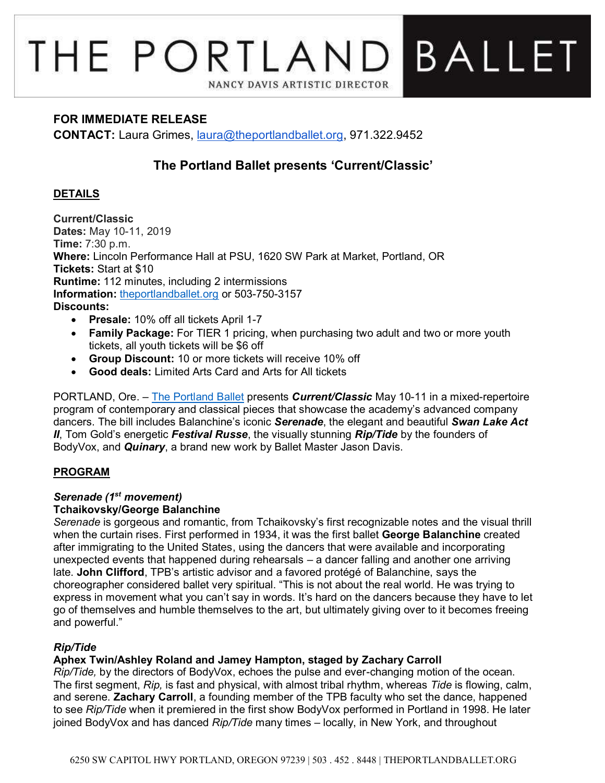# THE PORTLAND BALLET NANCY DAVIS ARTISTIC DIRECTOR

## **FOR IMMEDIATE RELEASE**

**CONTACT:** Laura Grimes, [laura@theportlandballet.org,](mailto:laura@theportlandballet.org) 971.322.9452

# **The Portland Ballet presents 'Current/Classic'**

### **DETAILS**

**Current/Classic Dates:** May 10-11, 2019 **Time:** 7:30 p.m. **Where:** Lincoln Performance Hall at PSU, 1620 SW Park at Market, Portland, OR **Tickets:** Start at \$10 **Runtime:** 112 minutes, including 2 intermissions **Information:** [theportlandballet.org](https://theportlandballet.org/) or 503-750-3157 **Discounts:** 

- **Presale:** 10% off all tickets April 1-7
- **Family Package:** For TIER 1 pricing, when purchasing two adult and two or more youth tickets, all youth tickets will be \$6 off
- **Group Discount:** 10 or more tickets will receive 10% off
- **Good deals:** Limited Arts Card and Arts for All tickets

PORTLAND, Ore. – [The Portland Ballet](http://theportlandballet.org/) presents *Current/Classic* May 10-11 in a mixed-repertoire program of contemporary and classical pieces that showcase the academy's advanced company dancers. The bill includes Balanchine's iconic *Serenade*, the elegant and beautiful *Swan Lake Act II*, Tom Gold's energetic *Festival Russe*, the visually stunning *Rip/Tide* by the founders of BodyVox, and *Quinary*, a brand new work by Ballet Master Jason Davis.

#### **PROGRAM**

# *Serenade (1st movement)*

#### **Tchaikovsky/George Balanchine**

*Serenade* is gorgeous and romantic, from Tchaikovsky's first recognizable notes and the visual thrill when the curtain rises. First performed in 1934, it was the first ballet **George Balanchine** created after immigrating to the United States, using the dancers that were available and incorporating unexpected events that happened during rehearsals – a dancer falling and another one arriving late. **John Clifford**, TPB's artistic advisor and a favored protégé of Balanchine, says the choreographer considered ballet very spiritual. "This is not about the real world. He was trying to express in movement what you can't say in words. It's hard on the dancers because they have to let go of themselves and humble themselves to the art, but ultimately giving over to it becomes freeing and powerful."

# *Rip/Tide*

#### **Aphex Twin/Ashley Roland and Jamey Hampton, staged by Zachary Carroll**

*Rip/Tide,* by the directors of BodyVox, echoes the pulse and ever-changing motion of the ocean. The first segment, *Rip,* is fast and physical, with almost tribal rhythm, whereas *Tide* is flowing, calm, and serene. **Zachary Carroll**, a founding member of the TPB faculty who set the dance, happened to see *Rip/Tide* when it premiered in the first show BodyVox performed in Portland in 1998. He later joined BodyVox and has danced *Rip/Tide* many times – locally, in New York, and throughout